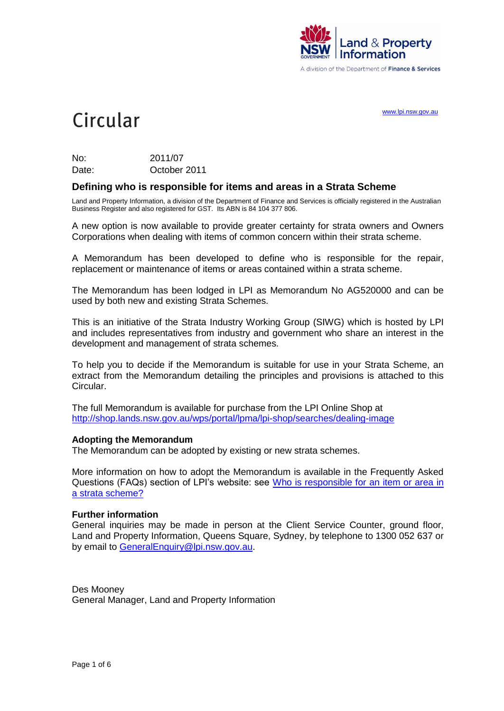

A division of the Department of Finance & Services

[www.lpi.nsw.gov.au](http://www.lpi.nsw.gov.au/)

# Circular

| No:   | 2011/07      |
|-------|--------------|
| Date: | October 2011 |

## **Defining who is responsible for items and areas in a Strata Scheme**

Land and Property Information, a division of the Department of Finance and Services is officially registered in the Australian Business Register and also registered for GST. Its ABN is 84 104 377 806.

A new option is now available to provide greater certainty for strata owners and Owners Corporations when dealing with items of common concern within their strata scheme.

A Memorandum has been developed to define who is responsible for the repair, replacement or maintenance of items or areas contained within a strata scheme.

The Memorandum has been lodged in LPI as Memorandum No AG520000 and can be used by both new and existing Strata Schemes.

This is an initiative of the Strata Industry Working Group (SIWG) which is hosted by LPI and includes representatives from industry and government who share an interest in the development and management of strata schemes.

To help you to decide if the Memorandum is suitable for use in your Strata Scheme, an extract from the Memorandum detailing the principles and provisions is attached to this Circular.

The full Memorandum is available for purchase from the LPI Online Shop at <http://shop.lands.nsw.gov.au/wps/portal/lpma/lpi-shop/searches/dealing-image>

#### **Adopting the Memorandum**

The Memorandum can be adopted by existing or new strata schemes.

More information on how to adopt the Memorandum is available in the Frequently Asked Questions (FAQs) section of LPI's website: see Who is responsible for an item or area in [a strata scheme?](http://www.lpma.nsw.gov.au/about_lpi/faqs2/strata_scheme/who_is_responsible_for_an_item_or_area_in_a_strata_scheme)

#### **Further information**

General inquiries may be made in person at the Client Service Counter, ground floor, Land and Property Information, Queens Square, Sydney, by telephone to 1300 052 637 or by email to [GeneralEnquiry@lpi.nsw.gov.au.](mailto:GeneralEnquiry@lpi.nsw.gov.au)

Des Mooney General Manager, Land and Property Information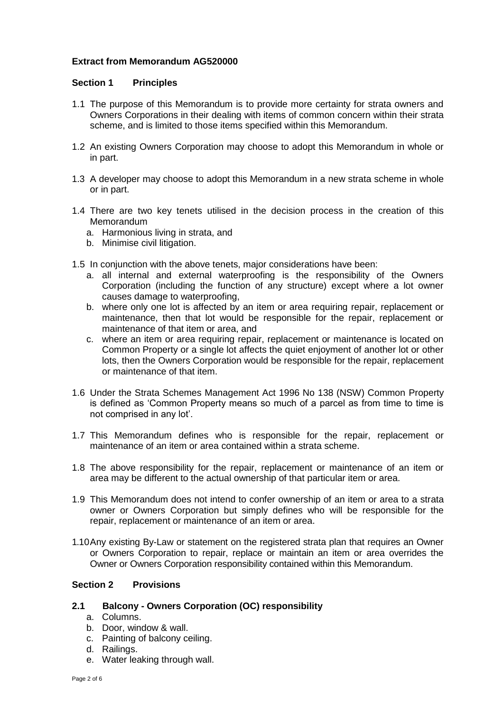# **Extract from Memorandum AG520000**

## **Section 1 Principles**

- 1.1 The purpose of this Memorandum is to provide more certainty for strata owners and Owners Corporations in their dealing with items of common concern within their strata scheme, and is limited to those items specified within this Memorandum.
- 1.2 An existing Owners Corporation may choose to adopt this Memorandum in whole or in part.
- 1.3 A developer may choose to adopt this Memorandum in a new strata scheme in whole or in part.
- 1.4 There are two key tenets utilised in the decision process in the creation of this **Memorandum** 
	- a. Harmonious living in strata, and
	- b. Minimise civil litigation.
- 1.5 In conjunction with the above tenets, major considerations have been:
	- a. all internal and external waterproofing is the responsibility of the Owners Corporation (including the function of any structure) except where a lot owner causes damage to waterproofing,
	- b. where only one lot is affected by an item or area requiring repair, replacement or maintenance, then that lot would be responsible for the repair, replacement or maintenance of that item or area, and
	- c. where an item or area requiring repair, replacement or maintenance is located on Common Property or a single lot affects the quiet enjoyment of another lot or other lots, then the Owners Corporation would be responsible for the repair, replacement or maintenance of that item.
- 1.6 Under the Strata Schemes Management Act 1996 No 138 (NSW) Common Property is defined as "Common Property means so much of a parcel as from time to time is not comprised in any lot".
- 1.7 This Memorandum defines who is responsible for the repair, replacement or maintenance of an item or area contained within a strata scheme.
- 1.8 The above responsibility for the repair, replacement or maintenance of an item or area may be different to the actual ownership of that particular item or area.
- 1.9 This Memorandum does not intend to confer ownership of an item or area to a strata owner or Owners Corporation but simply defines who will be responsible for the repair, replacement or maintenance of an item or area.
- 1.10Any existing By-Law or statement on the registered strata plan that requires an Owner or Owners Corporation to repair, replace or maintain an item or area overrides the Owner or Owners Corporation responsibility contained within this Memorandum.

## **Section 2 Provisions**

## **2.1 Balcony - Owners Corporation (OC) responsibility**

- a. Columns.
- b. Door, window & wall.
- c. Painting of balcony ceiling.
- d. Railings.
- e. Water leaking through wall.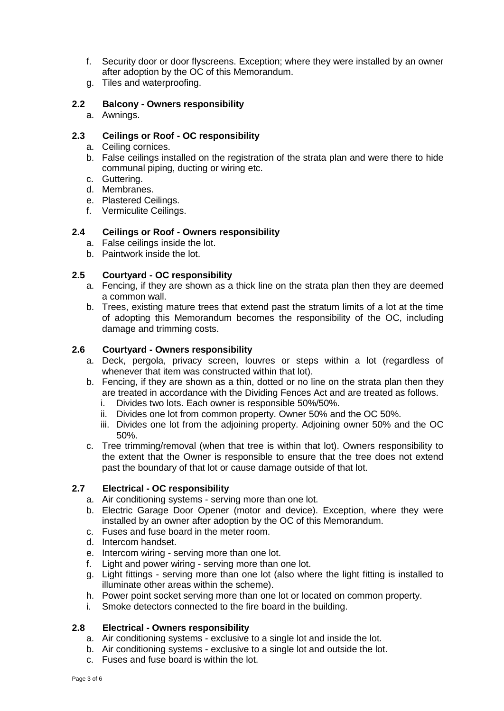- f. Security door or door flyscreens. Exception; where they were installed by an owner after adoption by the OC of this Memorandum.
- g. Tiles and waterproofing.

## **2.2 Balcony - Owners responsibility**

a. Awnings.

# **2.3 Ceilings or Roof - OC responsibility**

- a. Ceiling cornices.
- b. False ceilings installed on the registration of the strata plan and were there to hide communal piping, ducting or wiring etc.
- c. Guttering.
- d. Membranes.
- e. Plastered Ceilings.
- f. Vermiculite Ceilings.

#### **2.4 Ceilings or Roof - Owners responsibility**

- a. False ceilings inside the lot.
- b. Paintwork inside the lot.

#### **2.5 Courtyard - OC responsibility**

- a. Fencing, if they are shown as a thick line on the strata plan then they are deemed a common wall.
- b. Trees, existing mature trees that extend past the stratum limits of a lot at the time of adopting this Memorandum becomes the responsibility of the OC, including damage and trimming costs.

#### **2.6 Courtyard - Owners responsibility**

- a. Deck, pergola, privacy screen, louvres or steps within a lot (regardless of whenever that item was constructed within that lot).
- b. Fencing, if they are shown as a thin, dotted or no line on the strata plan then they are treated in accordance with the Dividing Fences Act and are treated as follows.
	- i. Divides two lots. Each owner is responsible 50%/50%.
	- ii. Divides one lot from common property. Owner 50% and the OC 50%.
	- iii. Divides one lot from the adjoining property. Adjoining owner 50% and the OC 50%.
- c. Tree trimming/removal (when that tree is within that lot). Owners responsibility to the extent that the Owner is responsible to ensure that the tree does not extend past the boundary of that lot or cause damage outside of that lot.

#### **2.7 Electrical - OC responsibility**

- a. Air conditioning systems serving more than one lot.
- b. Electric Garage Door Opener (motor and device). Exception, where they were installed by an owner after adoption by the OC of this Memorandum.
- c. Fuses and fuse board in the meter room.
- d. Intercom handset.
- e. Intercom wiring serving more than one lot.
- f. Light and power wiring serving more than one lot.
- g. Light fittings serving more than one lot (also where the light fitting is installed to illuminate other areas within the scheme).
- h. Power point socket serving more than one lot or located on common property.
- i. Smoke detectors connected to the fire board in the building.

#### **2.8 Electrical - Owners responsibility**

- a. Air conditioning systems exclusive to a single lot and inside the lot.
- b. Air conditioning systems exclusive to a single lot and outside the lot.
- c. Fuses and fuse board is within the lot.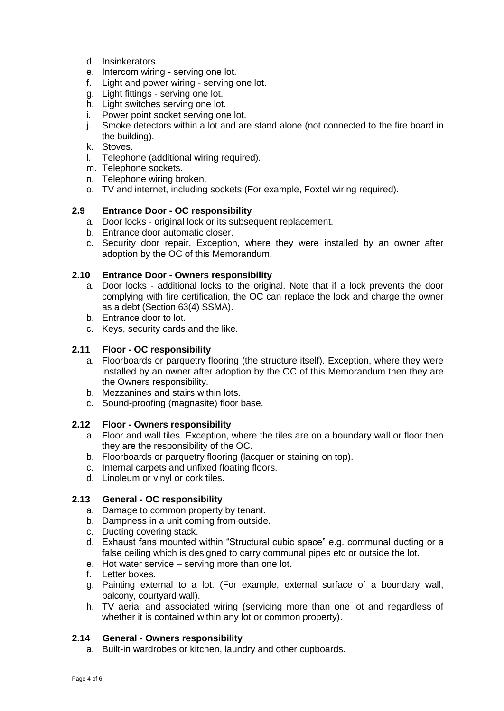- d. Insinkerators.
- e. Intercom wiring serving one lot.
- f. Light and power wiring serving one lot.
- g. Light fittings serving one lot.
- h. Light switches serving one lot.
- i. Power point socket serving one lot.
- j. Smoke detectors within a lot and are stand alone (not connected to the fire board in the building).
- k. Stoves.
- l. Telephone (additional wiring required).
- m. Telephone sockets.
- n. Telephone wiring broken.
- o. TV and internet, including sockets (For example, Foxtel wiring required).

## **2.9 Entrance Door - OC responsibility**

- a. Door locks original lock or its subsequent replacement.
- b. Entrance door automatic closer.
- c. Security door repair. Exception, where they were installed by an owner after adoption by the OC of this Memorandum.

## **2.10 Entrance Door - Owners responsibility**

- a. Door locks additional locks to the original. Note that if a lock prevents the door complying with fire certification, the OC can replace the lock and charge the owner as a debt (Section 63(4) SSMA).
- b. Entrance door to lot.
- c. Keys, security cards and the like.

# **2.11 Floor - OC responsibility**

- a. Floorboards or parquetry flooring (the structure itself). Exception, where they were installed by an owner after adoption by the OC of this Memorandum then they are the Owners responsibility.
- b. Mezzanines and stairs within lots.
- c. Sound-proofing (magnasite) floor base.

## **2.12 Floor - Owners responsibility**

- a. Floor and wall tiles. Exception, where the tiles are on a boundary wall or floor then they are the responsibility of the OC.
- b. Floorboards or parquetry flooring (lacquer or staining on top).
- c. Internal carpets and unfixed floating floors.
- d. Linoleum or vinyl or cork tiles.

## **2.13 General - OC responsibility**

- a. Damage to common property by tenant.
- b. Dampness in a unit coming from outside.
- c. Ducting covering stack.
- d. Exhaust fans mounted within "Structural cubic space" e.g. communal ducting or a false ceiling which is designed to carry communal pipes etc or outside the lot.
- e. Hot water service serving more than one lot.
- f. Letter boxes.
- g. Painting external to a lot. (For example, external surface of a boundary wall, balcony, courtyard wall).
- h. TV aerial and associated wiring (servicing more than one lot and regardless of whether it is contained within any lot or common property).

## **2.14 General - Owners responsibility**

a. Built-in wardrobes or kitchen, laundry and other cupboards.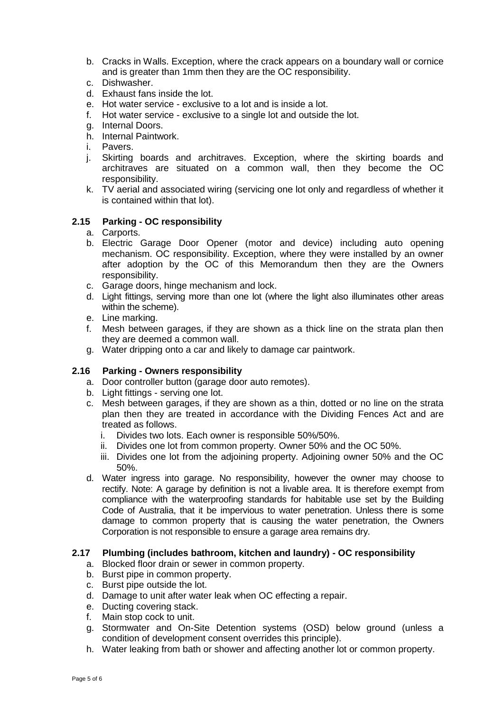- b. Cracks in Walls. Exception, where the crack appears on a boundary wall or cornice and is greater than 1mm then they are the OC responsibility.
- c. Dishwasher.
- d. Exhaust fans inside the lot.
- e. Hot water service exclusive to a lot and is inside a lot.
- f. Hot water service exclusive to a single lot and outside the lot.
- g. Internal Doors.
- h. Internal Paintwork.
- i. Pavers.
- j. Skirting boards and architraves. Exception, where the skirting boards and architraves are situated on a common wall, then they become the OC responsibility.
- k. TV aerial and associated wiring (servicing one lot only and regardless of whether it is contained within that lot).

#### **2.15 Parking - OC responsibility**

- a. Carports.
- b. Electric Garage Door Opener (motor and device) including auto opening mechanism. OC responsibility. Exception, where they were installed by an owner after adoption by the OC of this Memorandum then they are the Owners responsibility.
- c. Garage doors, hinge mechanism and lock.
- d. Light fittings, serving more than one lot (where the light also illuminates other areas within the scheme).
- e. Line marking.
- f. Mesh between garages, if they are shown as a thick line on the strata plan then they are deemed a common wall.
- g. Water dripping onto a car and likely to damage car paintwork.

#### **2.16 Parking - Owners responsibility**

- a. Door controller button (garage door auto remotes).
- b. Light fittings serving one lot.
- c. Mesh between garages, if they are shown as a thin, dotted or no line on the strata plan then they are treated in accordance with the Dividing Fences Act and are treated as follows.
	- i. Divides two lots. Each owner is responsible 50%/50%.
	- ii. Divides one lot from common property. Owner 50% and the OC 50%.
	- iii. Divides one lot from the adjoining property. Adjoining owner 50% and the OC 50%.
- d. Water ingress into garage. No responsibility, however the owner may choose to rectify. Note: A garage by definition is not a livable area. It is therefore exempt from compliance with the waterproofing standards for habitable use set by the Building Code of Australia, that it be impervious to water penetration. Unless there is some damage to common property that is causing the water penetration, the Owners Corporation is not responsible to ensure a garage area remains dry.

## **2.17 Plumbing (includes bathroom, kitchen and laundry) - OC responsibility**

- a. Blocked floor drain or sewer in common property.
- b. Burst pipe in common property.
- c. Burst pipe outside the lot.
- d. Damage to unit after water leak when OC effecting a repair.
- e. Ducting covering stack.
- f. Main stop cock to unit.
- g. Stormwater and On-Site Detention systems (OSD) below ground (unless a condition of development consent overrides this principle).
- h. Water leaking from bath or shower and affecting another lot or common property.